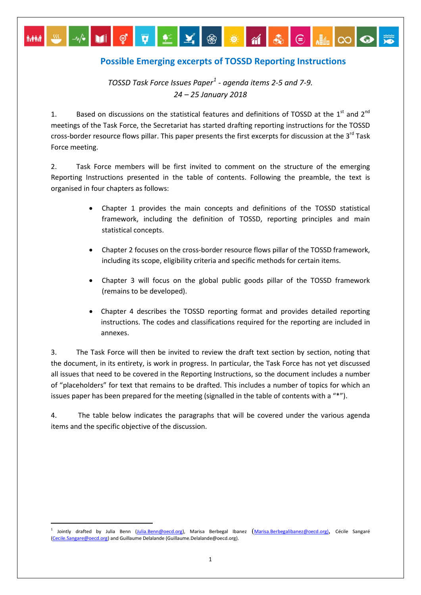## **Possible Emerging excerpts of TOSSD Reporting Instructions**

▌⊽▎▙▏▟▏<sub></sub>▒▏▒▕▗▎▌░▏⋵▏▓▏∞▏⊙

*TOSSD Task Force Issues Paper[1](#page-0-0) - agenda items 2-5 and 7-9. 24 – 25 January 2018*

 $-W^*$  Mig

**A-444** 

1. Based on discussions on the statistical features and definitions of TOSSD at the  $1^{st}$  and  $2^{nd}$ meetings of the Task Force, the Secretariat has started drafting reporting instructions for the TOSSD cross-border resource flows pillar. This paper presents the first excerpts for discussion at the 3<sup>rd</sup> Task Force meeting.

2. Task Force members will be first invited to comment on the structure of the emerging Reporting Instructions presented in the table of contents. Following the preamble, the text is organised in four chapters as follows:

- Chapter 1 provides the main concepts and definitions of the TOSSD statistical framework, including the definition of TOSSD, reporting principles and main statistical concepts.
- Chapter 2 focuses on the cross-border resource flows pillar of the TOSSD framework, including its scope, eligibility criteria and specific methods for certain items.
- Chapter 3 will focus on the global public goods pillar of the TOSSD framework (remains to be developed).
- Chapter 4 describes the TOSSD reporting format and provides detailed reporting instructions. The codes and classifications required for the reporting are included in annexes.

3. The Task Force will then be invited to review the draft text section by section, noting that the document, in its entirety, is work in progress. In particular, the Task Force has not yet discussed all issues that need to be covered in the Reporting Instructions, so the document includes a number of "placeholders" for text that remains to be drafted. This includes a number of topics for which an issues paper has been prepared for the meeting (signalled in the table of contents with a "\*").

4. The table below indicates the paragraphs that will be covered under the various agenda items and the specific objective of the discussion.

<span id="page-0-0"></span>Jointly drafted by Julia Benn [\(Julia.Benn@oecd.org\)](mailto:Julia.Benn@oecd.org), Marisa Berbegal Ibanez ([Marisa.Berbegalibanez@oecd.org\)](mailto:Marisa.Berbegalibanez@oecd.org), Cécile Sangaré [\(Cecile.Sangare@oecd.org\)](mailto:Cecile.Sangare@oecd.org) and Guillaume Delalande (Guillaume.Delalande@oecd.org).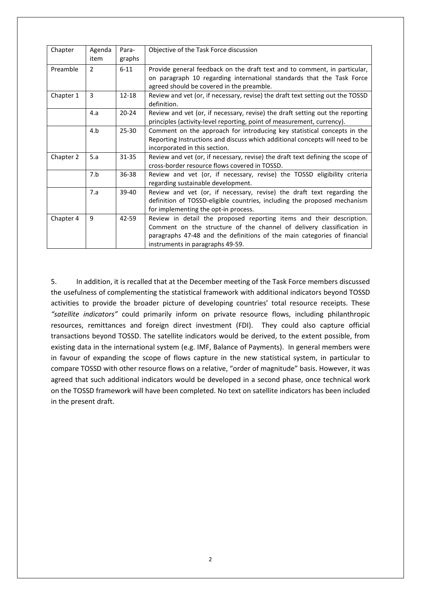| Chapter   | Agenda<br>item | Para-<br>graphs | Objective of the Task Force discussion                                                                                                                                                                                                                        |
|-----------|----------------|-----------------|---------------------------------------------------------------------------------------------------------------------------------------------------------------------------------------------------------------------------------------------------------------|
| Preamble  | $\overline{2}$ | $6 - 11$        | Provide general feedback on the draft text and to comment, in particular,<br>on paragraph 10 regarding international standards that the Task Force<br>agreed should be covered in the preamble.                                                               |
| Chapter 1 | 3              | 12-18           | Review and vet (or, if necessary, revise) the draft text setting out the TOSSD<br>definition.                                                                                                                                                                 |
|           | 4.a            | $20 - 24$       | Review and vet (or, if necessary, revise) the draft setting out the reporting<br>principles (activity-level reporting, point of measurement, currency).                                                                                                       |
|           | 4.b            | 25-30           | Comment on the approach for introducing key statistical concepts in the<br>Reporting Instructions and discuss which additional concepts will need to be<br>incorporated in this section.                                                                      |
| Chapter 2 | 5.a            | 31-35           | Review and vet (or, if necessary, revise) the draft text defining the scope of<br>cross-border resource flows covered in TOSSD.                                                                                                                               |
|           | 7.b            | 36-38           | Review and vet (or, if necessary, revise) the TOSSD eligibility criteria<br>regarding sustainable development.                                                                                                                                                |
|           | 7.a            | 39-40           | Review and vet (or, if necessary, revise) the draft text regarding the<br>definition of TOSSD-eligible countries, including the proposed mechanism<br>for implementing the opt-in process.                                                                    |
| Chapter 4 | 9              | 42-59           | Review in detail the proposed reporting items and their description.<br>Comment on the structure of the channel of delivery classification in<br>paragraphs 47-48 and the definitions of the main categories of financial<br>instruments in paragraphs 49-59. |

5. In addition, it is recalled that at the December meeting of the Task Force members discussed the usefulness of complementing the statistical framework with additional indicators beyond TOSSD activities to provide the broader picture of developing countries' total resource receipts. These *"satellite indicators"* could primarily inform on private resource flows, including philanthropic resources, remittances and foreign direct investment (FDI). They could also capture official transactions beyond TOSSD. The satellite indicators would be derived, to the extent possible, from existing data in the international system (e.g. IMF, Balance of Payments). In general members were in favour of expanding the scope of flows capture in the new statistical system, in particular to compare TOSSD with other resource flows on a relative, "order of magnitude" basis. However, it was agreed that such additional indicators would be developed in a second phase, once technical work on the TOSSD framework will have been completed. No text on satellite indicators has been included in the present draft.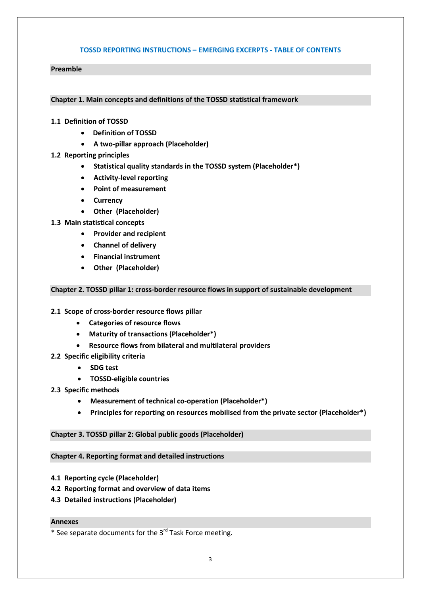## **TOSSD REPORTING INSTRUCTIONS – EMERGING EXCERPTS - TABLE OF CONTENTS**

#### **Preamble**

#### **Chapter 1. Main concepts and definitions of the TOSSD statistical framework**

#### **1.1 Definition of TOSSD**

- **Definition of TOSSD**
- **A two-pillar approach (Placeholder)**

## **1.2 Reporting principles**

- **Statistical quality standards in the TOSSD system (Placeholder\*)**
- **Activity-level reporting**
- **Point of measurement**
- **Currency**
- **Other (Placeholder)**
- **1.3 Main statistical concepts** 
	- **Provider and recipient**
	- **Channel of delivery**
	- **Financial instrument**
	- **Other (Placeholder)**

#### **Chapter 2. TOSSD pillar 1: cross-border resource flows in support of sustainable development**

## **2.1 Scope of cross-border resource flows pillar**

- **Categories of resource flows**
- **Maturity of transactions (Placeholder\*)**
- **Resource flows from bilateral and multilateral providers**
- **2.2 Specific eligibility criteria** 
	- **SDG test**
	- **TOSSD-eligible countries**
- **2.3 Specific methods**
	- **Measurement of technical co-operation (Placeholder\*)**
	- **Principles for reporting on resources mobilised from the private sector (Placeholder\*)**

## **Chapter 3. TOSSD pillar 2: Global public goods (Placeholder)**

## **Chapter 4. Reporting format and detailed instructions**

- **4.1 Reporting cycle (Placeholder)**
- **4.2 Reporting format and overview of data items**
- **4.3 Detailed instructions (Placeholder)**

## **Annexes**

<sup>\*</sup> See separate documents for the 3rd Task Force meeting.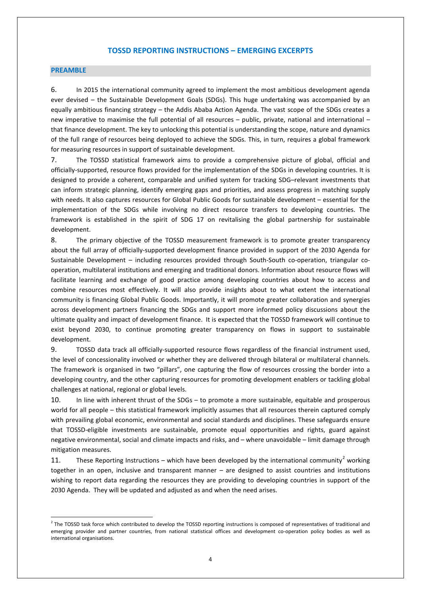#### **TOSSD REPORTING INSTRUCTIONS – EMERGING EXCERPTS**

#### **PREAMBLE**

6. In 2015 the international community agreed to implement the most ambitious development agenda ever devised – the Sustainable Development Goals (SDGs). This huge undertaking was accompanied by an equally ambitious financing strategy – the Addis Ababa Action Agenda. The vast scope of the SDGs creates a new imperative to maximise the full potential of all resources – public, private, national and international – that finance development. The key to unlocking this potential is understanding the scope, nature and dynamics of the full range of resources being deployed to achieve the SDGs. This, in turn, requires a global framework for measuring resources in support of sustainable development.

7. The TOSSD statistical framework aims to provide a comprehensive picture of global, official and officially-supported, resource flows provided for the implementation of the SDGs in developing countries. It is designed to provide a coherent, comparable and unified system for tracking SDG–relevant investments that can inform strategic planning, identify emerging gaps and priorities, and assess progress in matching supply with needs. It also captures resources for Global Public Goods for sustainable development – essential for the implementation of the SDGs while involving no direct resource transfers to developing countries. The framework is established in the spirit of SDG 17 on revitalising the global partnership for sustainable development.

8. The primary objective of the TOSSD measurement framework is to promote greater transparency about the full array of officially-supported development finance provided in support of the 2030 Agenda for Sustainable Development – including resources provided through South-South co-operation, triangular cooperation, multilateral institutions and emerging and traditional donors. Information about resource flows will facilitate learning and exchange of good practice among developing countries about how to access and combine resources most effectively. It will also provide insights about to what extent the international community is financing Global Public Goods. Importantly, it will promote greater collaboration and synergies across development partners financing the SDGs and support more informed policy discussions about the ultimate quality and impact of development finance. It is expected that the TOSSD framework will continue to exist beyond 2030, to continue promoting greater transparency on flows in support to sustainable development.

9. TOSSD data track all officially-supported resource flows regardless of the financial instrument used, the level of concessionality involved or whether they are delivered through bilateral or multilateral channels. The framework is organised in two "pillars", one capturing the flow of resources crossing the border into a developing country, and the other capturing resources for promoting development enablers or tackling global challenges at national, regional or global levels.

10. In line with inherent thrust of the SDGs – to promote a more sustainable, equitable and prosperous world for all people – this statistical framework implicitly assumes that all resources therein captured comply with prevailing global economic, environmental and social standards and disciplines. These safeguards ensure that TOSSD-eligible investments are sustainable, promote equal opportunities and rights, guard against negative environmental, social and climate impacts and risks, and – where unavoidable – limit damage through mitigation measures.

11. These Reporting Instructions – which have been developed by the international community<sup>[2](#page-3-0)</sup> working together in an open, inclusive and transparent manner – are designed to assist countries and institutions wishing to report data regarding the resources they are providing to developing countries in support of the 2030 Agenda. They will be updated and adjusted as and when the need arises.

<span id="page-3-0"></span><sup>&</sup>lt;sup>2</sup> The TOSSD task force which contributed to develop the TOSSD reporting instructions is composed of representatives of traditional and emerging provider and partner countries, from national statistical offices and development co-operation policy bodies as well as international organisations.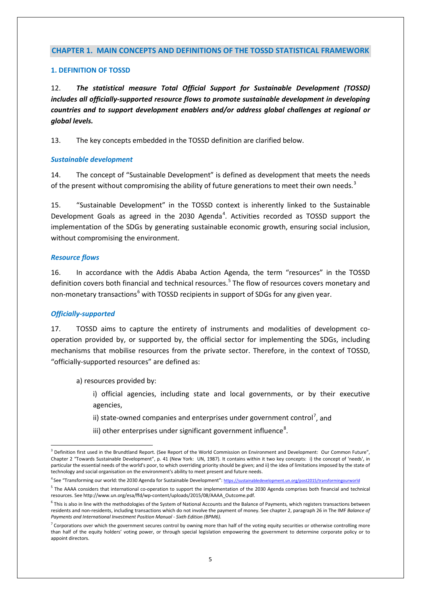## **CHAPTER 1. MAIN CONCEPTS AND DEFINITIONS OF THE TOSSD STATISTICAL FRAMEWORK**

#### **1. DEFINITION OF TOSSD**

12. *The statistical measure Total Official Support for Sustainable Development (TOSSD) includes all officially-supported resource flows to promote sustainable development in developing countries and to support development enablers and/or address global challenges at regional or global levels.* 

13. The key concepts embedded in the TOSSD definition are clarified below.

## *Sustainable development*

14. The concept of "Sustainable Development" is defined as development that meets the needs of the present without compromising the ability of future generations to meet their own needs.<sup>[3](#page-4-0)</sup>

15. "Sustainable Development" in the TOSSD context is inherently linked to the Sustainable Development Goals as agreed in the 2030 Agenda<sup>[4](#page-4-1)</sup>. Activities recorded as TOSSD support the implementation of the SDGs by generating sustainable economic growth, ensuring social inclusion, without compromising the environment.

#### *Resource flows*

16. In accordance with the Addis Ababa Action Agenda, the term "resources" in the TOSSD definition covers both financial and technical resources.<sup>[5](#page-4-2)</sup> The flow of resources covers monetary and non-monetary transactions<sup>[6](#page-4-3)</sup> with TOSSD recipients in support of SDGs for any given year.

## *Officially-supported*

17. TOSSD aims to capture the entirety of instruments and modalities of development cooperation provided by, or supported by, the official sector for implementing the SDGs, including mechanisms that mobilise resources from the private sector. Therefore, in the context of TOSSD, "officially-supported resources" are defined as:

a) resources provided by:

i) official agencies, including state and local governments, or by their executive agencies,

- ii) state-owned companies and enterprises under government control<sup>[7](#page-4-4)</sup>, and
- iii) other enterprises under significant government influence<sup>[8](#page-4-5)</sup>.

<span id="page-4-1"></span><sup>4</sup> See "Transforming our world: the 2030 Agenda for Sustainable Development"[: https://sustainabledevelopment.un.org/post2015/transformingourworld](https://sustainabledevelopment.un.org/post2015/transformingourworld)

<span id="page-4-0"></span> $3$  Definition first used in the Brundtland Report. (See Report of the World Commission on Environment and Development: Our Common Future", Chapter 2 "Towards Sustainable Development", p. 41 (New York: UN, 1987). It contains within it two key concepts: i) the concept of 'needs', in particular the essential needs of the world's poor, to which overriding priority should be given; and ii) the idea of limitations imposed by the state of technology and social organisation on the environment's ability to meet present and future needs.

<span id="page-4-2"></span><sup>&</sup>lt;sup>5</sup> The AAAA considers that international co-operation to support the implementation of the 2030 Agenda comprises both financial and technical resources. Se[e http://www.un.org/esa/ffd/wp-content/uploads/2015/08/AAAA\\_Outcome.pdf.](http://www.un.org/esa/ffd/wp-content/uploads/2015/08/AAAA_Outcome.pdf)

<span id="page-4-5"></span><span id="page-4-3"></span> $6$  This is also in line with the methodologies of the System of National Accounts and the Balance of Payments, which registers transactions between residents and non-residents, including transactions which do not involve the payment of money. See chapter 2, paragraph 26 in The IMF *Balance of Payments and International Investment Position Manual - Sixth Edition (BPM6).*

<span id="page-4-4"></span> $7$  Corporations over which the government secures control by owning more than half of the voting equity securities or otherwise controlling more than half of the equity holders' voting power, or through special legislation empowering the government to determine corporate policy or to appoint directors.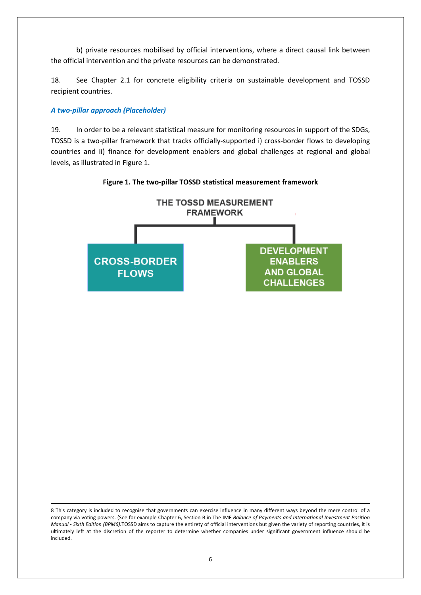b) private resources mobilised by official interventions, where a direct causal link between the official intervention and the private resources can be demonstrated.

18. See Chapter 2.1 for concrete eligibility criteria on sustainable development and TOSSD recipient countries.

## *A two-pillar approach (Placeholder)*

19. In order to be a relevant statistical measure for monitoring resources in support of the SDGs, TOSSD is a two-pillar framework that tracks officially-supported i) cross-border flows to developing countries and ii) finance for development enablers and global challenges at regional and global levels, as illustrated in Figure 1.





 <sup>8</sup> This category is included to recognise that governments can exercise influence in many different ways beyond the mere control of a company via voting powers. (See for example Chapter 6, Section B in The IMF *Balance of Payments and International Investment Position Manual - Sixth Edition (BPM6).*TOSSD aims to capture the entirety of official interventions but given the variety of reporting countries, it is ultimately left at the discretion of the reporter to determine whether companies under significant government influence should be included.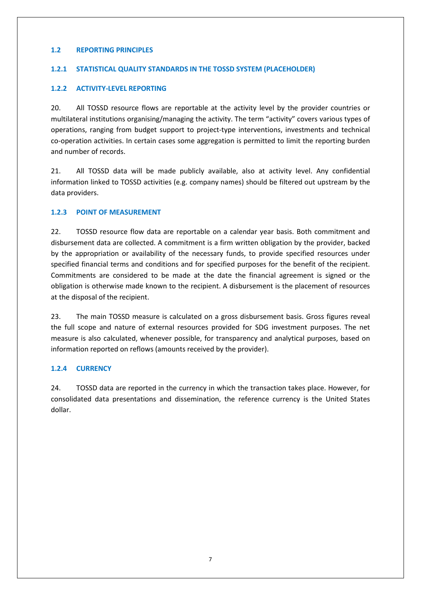## **1.2 REPORTING PRINCIPLES**

## **1.2.1 STATISTICAL QUALITY STANDARDS IN THE TOSSD SYSTEM (PLACEHOLDER)**

## **1.2.2 ACTIVITY-LEVEL REPORTING**

20. All TOSSD resource flows are reportable at the activity level by the provider countries or multilateral institutions organising/managing the activity. The term "activity" covers various types of operations, ranging from budget support to project-type interventions, investments and technical co-operation activities. In certain cases some aggregation is permitted to limit the reporting burden and number of records.

21. All TOSSD data will be made publicly available, also at activity level. Any confidential information linked to TOSSD activities (e.g. company names) should be filtered out upstream by the data providers.

## **1.2.3 POINT OF MEASUREMENT**

22. TOSSD resource flow data are reportable on a calendar year basis. Both commitment and disbursement data are collected. A commitment is a firm written obligation by the provider, backed by the appropriation or availability of the necessary funds, to provide specified resources under specified financial terms and conditions and for specified purposes for the benefit of the recipient. Commitments are considered to be made at the date the financial agreement is signed or the obligation is otherwise made known to the recipient. A disbursement is the placement of resources at the disposal of the recipient.

23. The main TOSSD measure is calculated on a gross disbursement basis. Gross figures reveal the full scope and nature of external resources provided for SDG investment purposes. The net measure is also calculated, whenever possible, for transparency and analytical purposes, based on information reported on reflows (amounts received by the provider).

## **1.2.4 CURRENCY**

24. TOSSD data are reported in the currency in which the transaction takes place. However, for consolidated data presentations and dissemination, the reference currency is the United States dollar.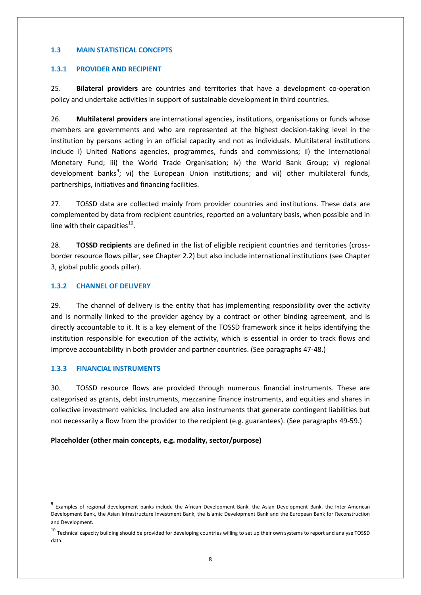## **1.3 MAIN STATISTICAL CONCEPTS**

## **1.3.1 PROVIDER AND RECIPIENT**

25. **Bilateral providers** are countries and territories that have a development co-operation policy and undertake activities in support of sustainable development in third countries.

26. **Multilateral providers** are international agencies, institutions, organisations or funds whose members are governments and who are represented at the highest decision-taking level in the institution by persons acting in an official capacity and not as individuals. Multilateral institutions include i) United Nations agencies, programmes, funds and commissions; ii) the International Monetary Fund; iii) the World Trade Organisation; iv) the World Bank Group; v) regional development banks<sup>[9](#page-7-0)</sup>; vi) the European Union institutions; and vii) other multilateral funds, partnerships, initiatives and financing facilities.

27. TOSSD data are collected mainly from provider countries and institutions. These data are complemented by data from recipient countries, reported on a voluntary basis, when possible and in line with their capacities $^{10}$ .

28. **TOSSD recipients** are defined in the list of eligible recipient countries and territories (crossborder resource flows pillar, see Chapter 2.2) but also include international institutions (see Chapter 3, global public goods pillar).

## **1.3.2 CHANNEL OF DELIVERY**

29. The channel of delivery is the entity that has implementing responsibility over the activity and is normally linked to the provider agency by a contract or other binding agreement, and is directly accountable to it. It is a key element of the TOSSD framework since it helps identifying the institution responsible for execution of the activity, which is essential in order to track flows and improve accountability in both provider and partner countries. (See paragraphs 47-48.)

## **1.3.3 FINANCIAL INSTRUMENTS**

30. TOSSD resource flows are provided through numerous financial instruments. These are categorised as grants, debt instruments, mezzanine finance instruments, and equities and shares in collective investment vehicles. Included are also instruments that generate contingent liabilities but not necessarily a flow from the provider to the recipient (e.g. guarantees). (See paragraphs 49-59.)

## **Placeholder (other main concepts, e.g. modality, sector/purpose)**

<span id="page-7-0"></span>Examples of regional development banks include the African Development Bank, the Asian Development Bank, the Inter-American Development Bank, the Asian Infrastructure Investment Bank, the Islamic Development Bank and the European Bank for Reconstruction and Development.

<span id="page-7-1"></span> $10$  Technical capacity building should be provided for developing countries willing to set up their own systems to report and analyse TOSSD data.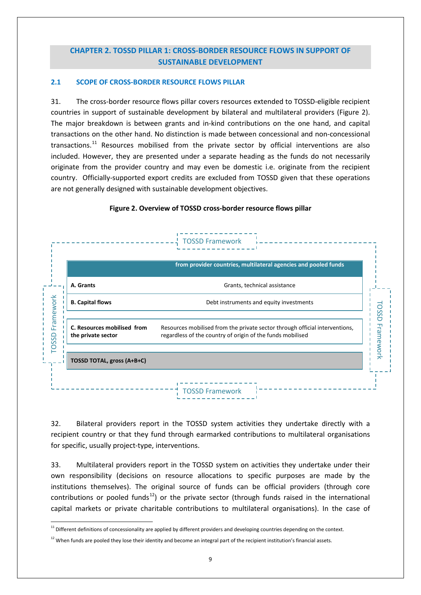# **CHAPTER 2. TOSSD PILLAR 1: CROSS-BORDER RESOURCE FLOWS IN SUPPORT OF SUSTAINABLE DEVELOPMENT**

## **2.1 SCOPE OF CROSS-BORDER RESOURCE FLOWS PILLAR**

31. The cross-border resource flows pillar covers resources extended to TOSSD-eligible recipient countries in support of sustainable development by bilateral and multilateral providers (Figure 2). The major breakdown is between grants and in-kind contributions on the one hand, and capital transactions on the other hand. No distinction is made between concessional and non-concessional transactions. $^{11}$  $^{11}$  $^{11}$  Resources mobilised from the private sector by official interventions are also included. However, they are presented under a separate heading as the funds do not necessarily originate from the provider country and may even be domestic i.e. originate from the recipient country. Officially-supported export credits are excluded from TOSSD given that these operations are not generally designed with sustainable development objectives.



## **Figure 2. Overview of TOSSD cross-border resource flows pillar**

32. Bilateral providers report in the TOSSD system activities they undertake directly with a recipient country or that they fund through earmarked contributions to multilateral organisations for specific, usually project-type, interventions.

33. Multilateral providers report in the TOSSD system on activities they undertake under their own responsibility (decisions on resource allocations to specific purposes are made by the institutions themselves). The original source of funds can be official providers (through core contributions or pooled funds<sup>12</sup>) or the private sector (through funds raised in the international capital markets or private charitable contributions to multilateral organisations). In the case of

<span id="page-8-0"></span><sup>&</sup>lt;sup>11</sup> Different definitions of concessionality are applied by different providers and developing countries depending on the context.

<span id="page-8-1"></span> $12$  When funds are pooled they lose their identity and become an integral part of the recipient institution's financial assets.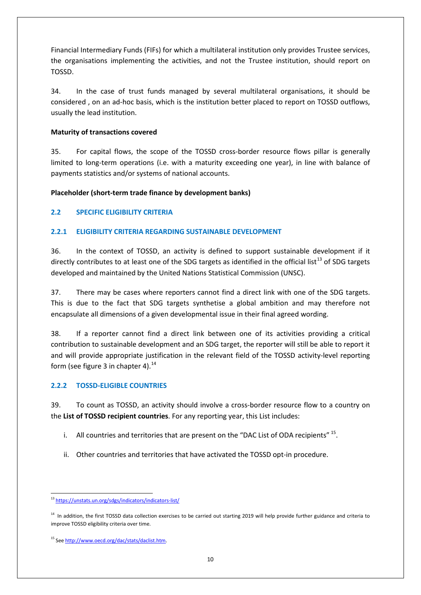Financial Intermediary Funds (FIFs) for which a multilateral institution only provides Trustee services, the organisations implementing the activities, and not the Trustee institution, should report on TOSSD.

34. In the case of trust funds managed by several multilateral organisations, it should be considered , on an ad-hoc basis, which is the institution better placed to report on TOSSD outflows, usually the lead institution.

## **Maturity of transactions covered**

35. For capital flows, the scope of the TOSSD cross-border resource flows pillar is generally limited to long-term operations (i.e. with a maturity exceeding one year), in line with balance of payments statistics and/or systems of national accounts.

## **Placeholder (short-term trade finance by development banks)**

## **2.2 SPECIFIC ELIGIBILITY CRITERIA**

## **2.2.1 ELIGIBILITY CRITERIA REGARDING SUSTAINABLE DEVELOPMENT**

36. In the context of TOSSD, an activity is defined to support sustainable development if it directly contributes to at least one of the SDG targets as identified in the official list<sup>[13](#page-9-0)</sup> of SDG targets developed and maintained by the United Nations Statistical Commission (UNSC).

37. There may be cases where reporters cannot find a direct link with one of the SDG targets. This is due to the fact that SDG targets synthetise a global ambition and may therefore not encapsulate all dimensions of a given developmental issue in their final agreed wording.

38. If a reporter cannot find a direct link between one of its activities providing a critical contribution to sustainable development and an SDG target, the reporter will still be able to report it and will provide appropriate justification in the relevant field of the TOSSD activity-level reporting form (see figure 3 in chapter 4). $^{14}$  $^{14}$  $^{14}$ 

## **2.2.2 TOSSD-ELIGIBLE COUNTRIES**

39. To count as TOSSD, an activity should involve a cross-border resource flow to a country on the **List of TOSSD recipient countries**. For any reporting year, this List includes:

- i. All countries and territories that are present on the "DAC List of ODA recipients"  $^{15}$  $^{15}$  $^{15}$ .
- ii. Other countries and territories that have activated the TOSSD opt-in procedure.

<span id="page-9-0"></span> <sup>13</sup> <https://unstats.un.org/sdgs/indicators/indicators-list/>

<span id="page-9-1"></span><sup>&</sup>lt;sup>14</sup> In addition, the first TOSSD data collection exercises to be carried out starting 2019 will help provide further guidance and criteria to improve TOSSD eligibility criteria over time.

<span id="page-9-2"></span><sup>15</sup> Se[e http://www.oecd.org/dac/stats/daclist.htm.](http://www.oecd.org/dac/stats/daclist.htm)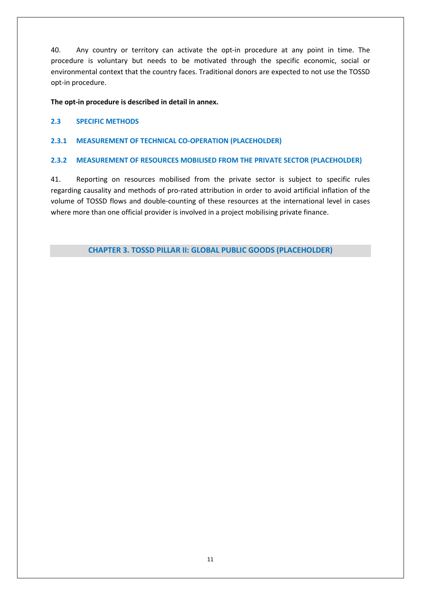40. Any country or territory can activate the opt-in procedure at any point in time. The procedure is voluntary but needs to be motivated through the specific economic, social or environmental context that the country faces. Traditional donors are expected to not use the TOSSD opt-in procedure.

## **The opt-in procedure is described in detail in annex.**

## **2.3 SPECIFIC METHODS**

## **2.3.1 MEASUREMENT OF TECHNICAL CO-OPERATION (PLACEHOLDER)**

## **2.3.2 MEASUREMENT OF RESOURCES MOBILISED FROM THE PRIVATE SECTOR (PLACEHOLDER)**

41. Reporting on resources mobilised from the private sector is subject to specific rules regarding causality and methods of pro-rated attribution in order to avoid artificial inflation of the volume of TOSSD flows and double-counting of these resources at the international level in cases where more than one official provider is involved in a project mobilising private finance.

**CHAPTER 3. TOSSD PILLAR II: GLOBAL PUBLIC GOODS (PLACEHOLDER)**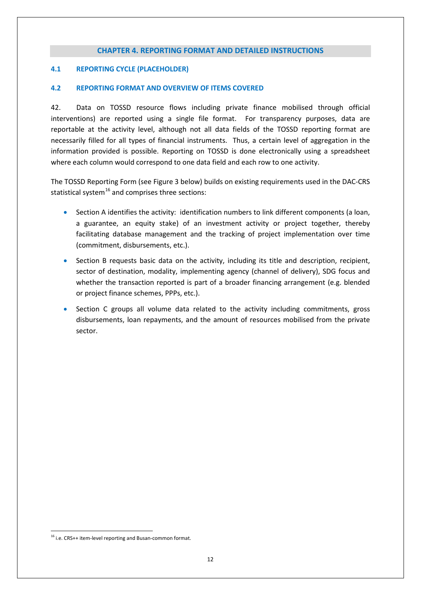## **CHAPTER 4. REPORTING FORMAT AND DETAILED INSTRUCTIONS**

### **4.1 REPORTING CYCLE (PLACEHOLDER)**

#### **4.2 REPORTING FORMAT AND OVERVIEW OF ITEMS COVERED**

42. Data on TOSSD resource flows including private finance mobilised through official interventions) are reported using a single file format. For transparency purposes, data are reportable at the activity level, although not all data fields of the TOSSD reporting format are necessarily filled for all types of financial instruments. Thus, a certain level of aggregation in the information provided is possible. Reporting on TOSSD is done electronically using a spreadsheet where each column would correspond to one data field and each row to one activity.

The TOSSD Reporting Form (see Figure 3 below) builds on existing requirements used in the DAC-CRS statistical system<sup>[16](#page-11-0)</sup> and comprises three sections:

- Section A identifies the activity: identification numbers to link different components (a loan, a guarantee, an equity stake) of an investment activity or project together, thereby facilitating database management and the tracking of project implementation over time (commitment, disbursements, etc.).
- Section B requests basic data on the activity, including its title and description, recipient, sector of destination, modality, implementing agency (channel of delivery), SDG focus and whether the transaction reported is part of a broader financing arrangement (e.g. blended or project finance schemes, PPPs, etc.).
- Section C groups all volume data related to the activity including commitments, gross disbursements, loan repayments, and the amount of resources mobilised from the private sector.

<span id="page-11-0"></span><sup>&</sup>lt;sup>16</sup> i.e. CRS++ item-level reporting and Busan-common format.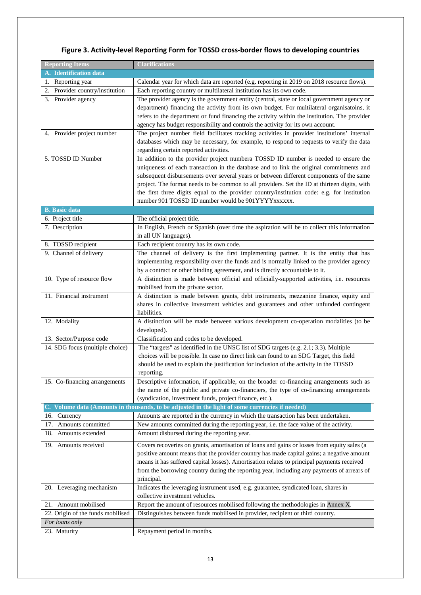| <b>Reporting Items</b>                                                                          | <b>Clarifications</b>                                                                        |  |  |  |
|-------------------------------------------------------------------------------------------------|----------------------------------------------------------------------------------------------|--|--|--|
| A. Identification data                                                                          |                                                                                              |  |  |  |
| 1. Reporting year                                                                               | Calendar year for which data are reported (e.g. reporting in 2019 on 2018 resource flows).   |  |  |  |
| 2. Provider country/institution                                                                 | Each reporting country or multilateral institution has its own code.                         |  |  |  |
| 3. Provider agency                                                                              | The provider agency is the government entity (central, state or local government agency or   |  |  |  |
|                                                                                                 | department) financing the activity from its own budget. For multilateral organisatoins, it   |  |  |  |
|                                                                                                 | refers to the department or fund financing the activity within the institution. The provider |  |  |  |
|                                                                                                 | agency has budget responsibility and controls the activity for its own account.              |  |  |  |
| 4. Provider project number                                                                      | The project number field facilitates tracking activities in provider institutions' internal  |  |  |  |
|                                                                                                 | databases which may be necessary, for example, to respond to requests to verify the data     |  |  |  |
|                                                                                                 | regarding certain reported activities.                                                       |  |  |  |
| 5. TOSSD ID Number                                                                              | In addition to the provider project numbera TOSSD ID number is needed to ensure the          |  |  |  |
|                                                                                                 | uniqueness of each transaction in the database and to link the original commitments and      |  |  |  |
|                                                                                                 | subsequent disbursements over several years or between different components of the same      |  |  |  |
|                                                                                                 | project. The format needs to be common to all providers. Set the ID at thirteen digits, with |  |  |  |
|                                                                                                 | the first three digits equal to the provider country/institution code: e.g. for institution  |  |  |  |
|                                                                                                 | number 901 TOSSD ID number would be 901YYYYxxxxxx.                                           |  |  |  |
| <b>B.</b> Basic data                                                                            |                                                                                              |  |  |  |
| 6. Project title                                                                                | The official project title.                                                                  |  |  |  |
| 7. Description                                                                                  | In English, French or Spanish (over time the aspiration will be to collect this information  |  |  |  |
|                                                                                                 | in all UN languages).                                                                        |  |  |  |
| 8. TOSSD recipient                                                                              | Each recipient country has its own code.                                                     |  |  |  |
| 9. Channel of delivery                                                                          | The channel of delivery is the first implementing partner. It is the entity that has         |  |  |  |
|                                                                                                 | implementing responsibility over the funds and is normally linked to the provider agency     |  |  |  |
|                                                                                                 | by a contract or other binding agreement, and is directly accountable to it.                 |  |  |  |
| 10. Type of resource flow                                                                       | A distinction is made between official and officially-supported activities, i.e. resources   |  |  |  |
|                                                                                                 | mobilised from the private sector.                                                           |  |  |  |
| 11. Financial instrument                                                                        | A distinction is made between grants, debt instruments, mezzanine finance, equity and        |  |  |  |
|                                                                                                 | shares in collective investment vehicles and guarantees and other unfunded contingent        |  |  |  |
|                                                                                                 | liabilities.                                                                                 |  |  |  |
| 12. Modality                                                                                    | A distinction will be made between various development co-operation modalities (to be        |  |  |  |
|                                                                                                 | developed).                                                                                  |  |  |  |
| 13. Sector/Purpose code                                                                         | Classification and codes to be developed.                                                    |  |  |  |
| 14. SDG focus (multiple choice)                                                                 | The "targets" as identified in the UNSC list of SDG targets (e.g. 2.1; 3.3). Multiple        |  |  |  |
|                                                                                                 | choices will be possible. In case no direct link can found to an SDG Target, this field      |  |  |  |
|                                                                                                 | should be used to explain the justification for inclusion of the activity in the TOSSD       |  |  |  |
|                                                                                                 | reporting.                                                                                   |  |  |  |
| 15. Co-financing arrangements                                                                   | Descriptive information, if applicable, on the broader co-financing arrangements such as     |  |  |  |
|                                                                                                 | the name of the public and private co-financiers, the type of co-financing arrangements      |  |  |  |
|                                                                                                 | (syndication, investment funds, project finance, etc.).                                      |  |  |  |
| C. Volume data (Amounts in thousands, to be adjusted in the light of some currencies if needed) |                                                                                              |  |  |  |
| 16. Currency                                                                                    | Amounts are reported in the currency in which the transaction has been undertaken.           |  |  |  |
| 17. Amounts committed                                                                           | New amounts committed during the reporting year, i.e. the face value of the activity.        |  |  |  |
| 18. Amounts extended                                                                            | Amount disbursed during the reporting year.                                                  |  |  |  |
| 19. Amounts received                                                                            | Covers recoveries on grants, amortisation of loans and gains or losses from equity sales (a  |  |  |  |
|                                                                                                 | positive amount means that the provider country has made capital gains; a negative amount    |  |  |  |
|                                                                                                 | means it has suffered capital losses). Amortisation relates to principal payments received   |  |  |  |
|                                                                                                 | from the borrowing country during the reporting year, including any payments of arrears of   |  |  |  |
|                                                                                                 | principal.                                                                                   |  |  |  |
| 20. Leveraging mechanism                                                                        | Indicates the leveraging instrument used, e.g. guarantee, syndicated loan, shares in         |  |  |  |
|                                                                                                 | collective investment vehicles.                                                              |  |  |  |
| 21. Amount mobilised                                                                            | Report the amount of resources mobilised following the methodologies in Annex X.             |  |  |  |
| 22. Origin of the funds mobilised                                                               | Distinguishes between funds mobilised in provider, recipient or third country.               |  |  |  |
| For loans only                                                                                  |                                                                                              |  |  |  |
| 23. Maturity                                                                                    | Repayment period in months.                                                                  |  |  |  |

# **Figure 3. Activity-level Reporting Form for TOSSD cross-border flows to developing countries**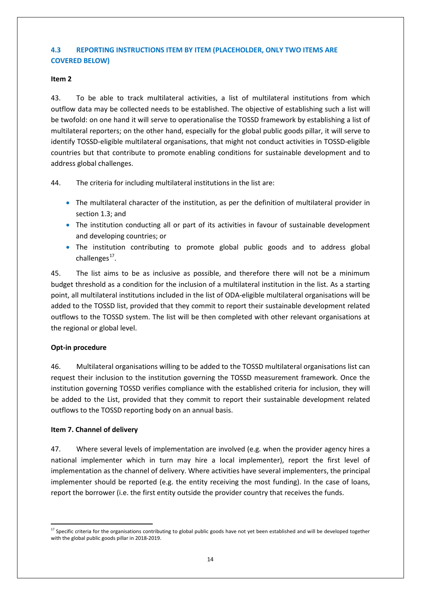## **4.3 REPORTING INSTRUCTIONS ITEM BY ITEM (PLACEHOLDER, ONLY TWO ITEMS ARE COVERED BELOW)**

## **Item 2**

43. To be able to track multilateral activities, a list of multilateral institutions from which outflow data may be collected needs to be established. The objective of establishing such a list will be twofold: on one hand it will serve to operationalise the TOSSD framework by establishing a list of multilateral reporters; on the other hand, especially for the global public goods pillar, it will serve to identify TOSSD-eligible multilateral organisations, that might not conduct activities in TOSSD-eligible countries but that contribute to promote enabling conditions for sustainable development and to address global challenges.

44. The criteria for including multilateral institutions in the list are:

- The multilateral character of the institution, as per the definition of multilateral provider in section 1.3; and
- The institution conducting all or part of its activities in favour of sustainable development and developing countries; or
- The institution contributing to promote global public goods and to address global challenges<sup>17</sup>.

45. The list aims to be as inclusive as possible, and therefore there will not be a minimum budget threshold as a condition for the inclusion of a multilateral institution in the list. As a starting point, all multilateral institutions included in the list of ODA-eligible multilateral organisations will be added to the TOSSD list, provided that they commit to report their sustainable development related outflows to the TOSSD system. The list will be then completed with other relevant organisations at the regional or global level.

## **Opt-in procedure**

46. Multilateral organisations willing to be added to the TOSSD multilateral organisations list can request their inclusion to the institution governing the TOSSD measurement framework. Once the institution governing TOSSD verifies compliance with the established criteria for inclusion, they will be added to the List, provided that they commit to report their sustainable development related outflows to the TOSSD reporting body on an annual basis.

## **Item 7. Channel of delivery**

47. Where several levels of implementation are involved (e.g. when the provider agency hires a national implementer which in turn may hire a local implementer), report the first level of implementation as the channel of delivery. Where activities have several implementers, the principal implementer should be reported (e.g. the entity receiving the most funding). In the case of loans, report the borrower (i.e. the first entity outside the provider country that receives the funds.

<span id="page-13-0"></span><sup>&</sup>lt;sup>17</sup> Specific criteria for the organisations contributing to global public goods have not yet been established and will be developed together with the global public goods pillar in 2018-2019.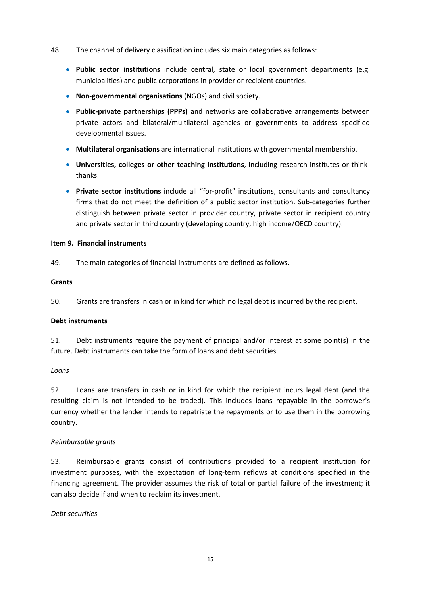- 48. The channel of delivery classification includes six main categories as follows:
	- **Public sector institutions** include central, state or local government departments (e.g. municipalities) and public corporations in provider or recipient countries.
	- **Non-governmental organisations** (NGOs) and civil society.
	- **Public-private partnerships (PPPs)** and networks are collaborative arrangements between private actors and bilateral/multilateral agencies or governments to address specified developmental issues.
	- **Multilateral organisations** are international institutions with governmental membership.
	- **Universities, colleges or other teaching institutions**, including research institutes or thinkthanks.
	- **Private sector institutions** include all "for-profit" institutions, consultants and consultancy firms that do not meet the definition of a public sector institution. Sub-categories further distinguish between private sector in provider country, private sector in recipient country and private sector in third country (developing country, high income/OECD country).

## **Item 9. Financial instruments**

49. The main categories of financial instruments are defined as follows.

#### **Grants**

50. Grants are transfers in cash or in kind for which no legal debt is incurred by the recipient.

## **Debt instruments**

51. Debt instruments require the payment of principal and/or interest at some point(s) in the future. Debt instruments can take the form of loans and debt securities.

*Loans*

52. Loans are transfers in cash or in kind for which the recipient incurs legal debt (and the resulting claim is not intended to be traded). This includes loans repayable in the borrower's currency whether the lender intends to repatriate the repayments or to use them in the borrowing country.

## *Reimbursable grants*

53. Reimbursable grants consist of contributions provided to a recipient institution for investment purposes, with the expectation of long-term reflows at conditions specified in the financing agreement. The provider assumes the risk of total or partial failure of the investment; it can also decide if and when to reclaim its investment.

## *Debt securities*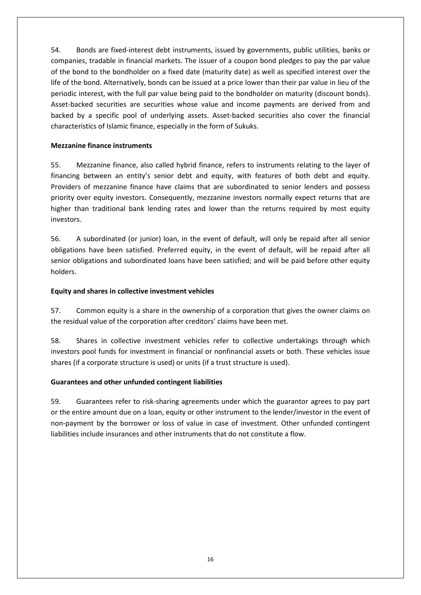54. Bonds are fixed-interest debt instruments, issued by governments, public utilities, banks or companies, tradable in financial markets. The issuer of a coupon bond pledges to pay the par value of the bond to the bondholder on a fixed date (maturity date) as well as specified interest over the life of the bond. Alternatively, bonds can be issued at a price lower than their par value in lieu of the periodic interest, with the full par value being paid to the bondholder on maturity (discount bonds). Asset-backed securities are securities whose value and income payments are derived from and backed by a specific pool of underlying assets. Asset-backed securities also cover the financial characteristics of Islamic finance, especially in the form of Sukuks.

## **Mezzanine finance instruments**

55. Mezzanine finance, also called hybrid finance, refers to instruments relating to the layer of financing between an entity's senior debt and equity, with features of both debt and equity. Providers of mezzanine finance have claims that are subordinated to senior lenders and possess priority over equity investors. Consequently, mezzanine investors normally expect returns that are higher than traditional bank lending rates and lower than the returns required by most equity investors.

56. A subordinated (or junior) loan, in the event of default, will only be repaid after all senior obligations have been satisfied. Preferred equity, in the event of default, will be repaid after all senior obligations and subordinated loans have been satisfied; and will be paid before other equity holders.

## **Equity and shares in collective investment vehicles**

57. Common equity is a share in the ownership of a corporation that gives the owner claims on the residual value of the corporation after creditors' claims have been met.

58. Shares in collective investment vehicles refer to collective undertakings through which investors pool funds for investment in financial or nonfinancial assets or both. These vehicles issue shares (if a corporate structure is used) or units (if a trust structure is used).

## **Guarantees and other unfunded contingent liabilities**

59. Guarantees refer to risk-sharing agreements under which the guarantor agrees to pay part or the entire amount due on a loan, equity or other instrument to the lender/investor in the event of non-payment by the borrower or loss of value in case of investment. Other unfunded contingent liabilities include insurances and other instruments that do not constitute a flow.